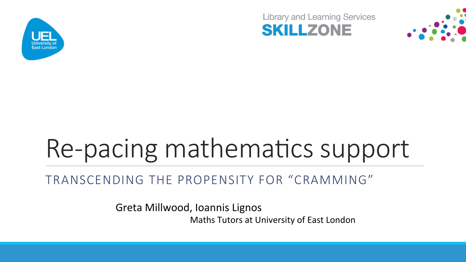

**Library and Learning Services SKILLZONE** 



# Re-pacing mathematics support

#### TRANSCENDING THE PROPENSITY FOR "CRAMMING"

Greta Millwood, Ioannis Lignos Maths Tutors at University of East London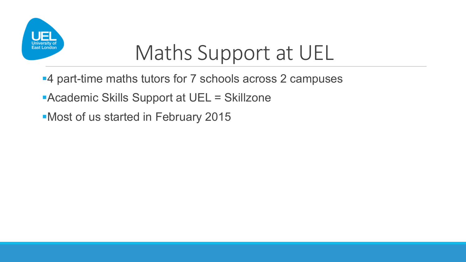

### Maths Support at UEL

- ■4 part-time maths tutors for 7 schools across 2 campuses
- ■Academic Skills Support at UEL = Skillzone
- ■Most of us started in February 2015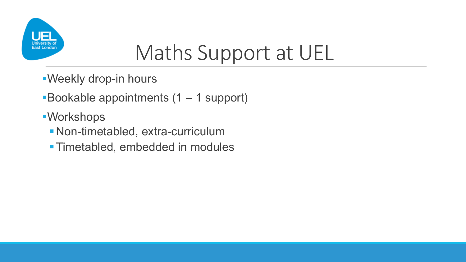

## Maths Support at UEL

- §Weekly drop-in hours
- ■Bookable appointments (1 1 support)
- §Workshops
	- §Non-timetabled, extra-curriculum
	- Timetabled, embedded in modules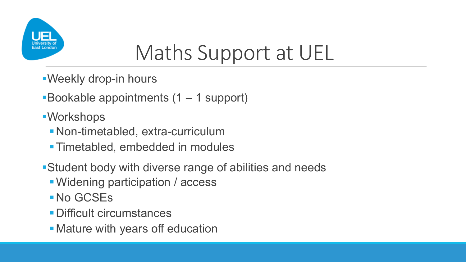

## Maths Support at UEL

- §Weekly drop-in hours
- ■Bookable appointments (1 1 support)
- ■Workshops
	- §Non-timetabled, extra-curriculum
	- §Timetabled, embedded in modules
- ■Student body with diverse range of abilities and needs
	- Widening participation / access
	- §No GCSEs
	- §Difficult circumstances
	- Mature with years off education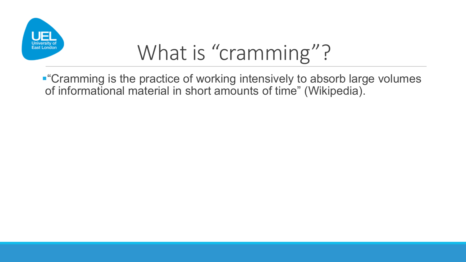

■ "Cramming is the practice of working intensively to absorb large volumes of informational material in short amounts of time" (Wikipedia).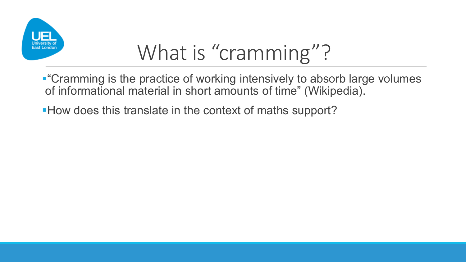

- "Cramming is the practice of working intensively to absorb large volumes of informational material in short amounts of time" (Wikipedia).
- ■How does this translate in the context of maths support?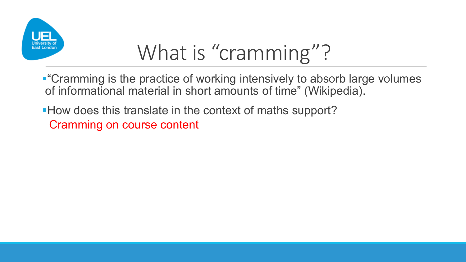

- "Cramming is the practice of working intensively to absorb large volumes of informational material in short amounts of time" (Wikipedia).
- How does this translate in the context of maths support? Cramming on course content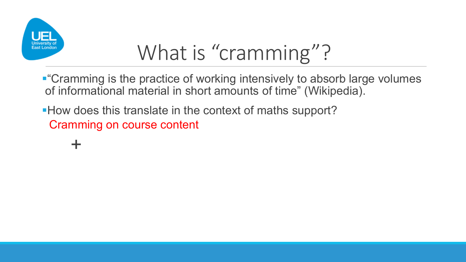

- "Cramming is the practice of working intensively to absorb large volumes of informational material in short amounts of time" (Wikipedia).
- How does this translate in the context of maths support? Cramming on course content

+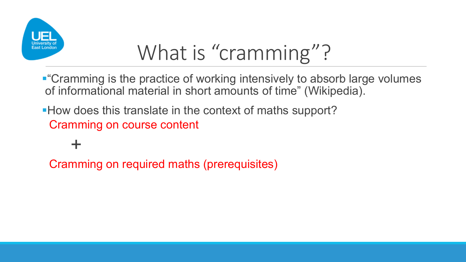

- ■"Cramming is the practice of working intensively to absorb large volumes of informational material in short amounts of time" (Wikipedia).
- How does this translate in the context of maths support? Cramming on course content

+ Cramming on required maths (prerequisites)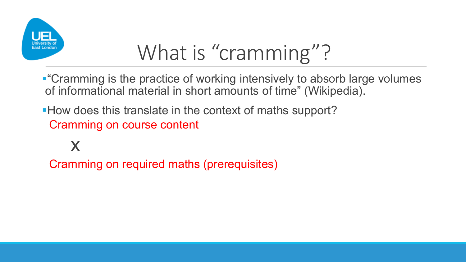

- "Cramming is the practice of working intensively to absorb large volumes of informational material in short amounts of time" (Wikipedia).
- How does this translate in the context of maths support? Cramming on course content

x

Cramming on required maths (prerequisites)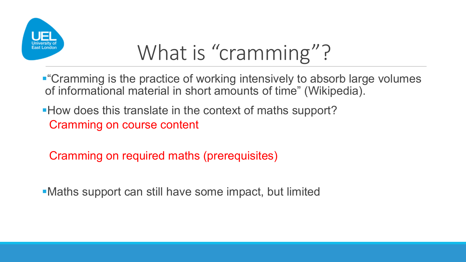

- Cramming is the practice of working intensively to absorb large volumes of informational material in short amounts of time" (Wikipedia).
- How does this translate in the context of maths support? Cramming on course content
	- Cramming on required maths (prerequisites)
- Maths support can still have some impact, but limited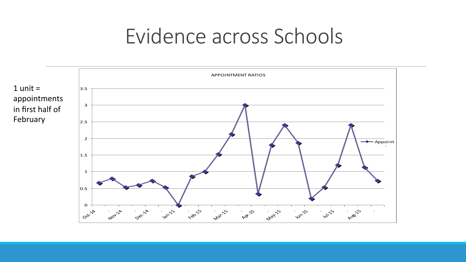### Evidence across Schools

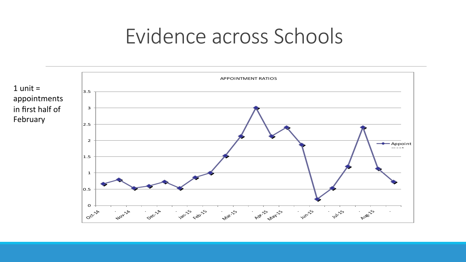### Evidence across Schools

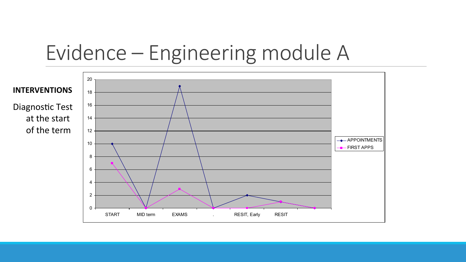### Evidence – Engineering module A

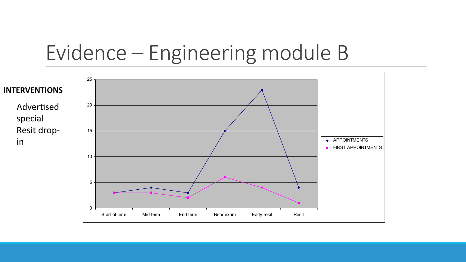### Evidence – Engineering module B

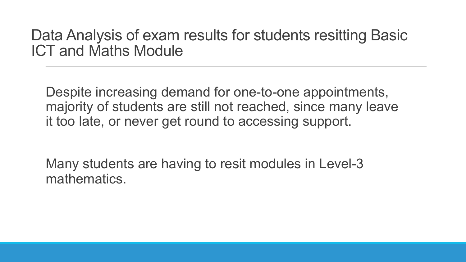#### Data Analysis of exam results for students resitting Basic ICT and Maths Module

Despite increasing demand for one-to-one appointments, majority of students are still not reached, since many leave it too late, or never get round to accessing support.

Many students are having to resit modules in Level-3 mathematics.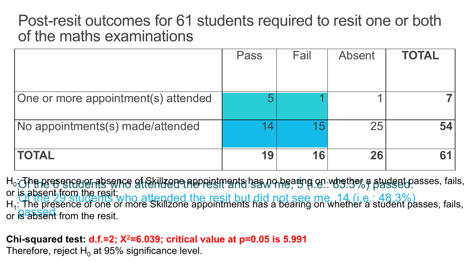### Post-resit outcomes for 61 students required to resit one or both of the maths examinations

|                                     | Pass | Fail | <b>Absent</b> | <b>TOTAL</b> |
|-------------------------------------|------|------|---------------|--------------|
|                                     |      |      |               |              |
| One or more appointment(s) attended |      |      |               |              |
| No appointments(s) made/attended    |      | 15   | 25            | 54           |
| <b>TOTAL</b>                        | 19   | 16   | 26            |              |

Of the 6 students who attended the resit and saw me, <sup>91</sup>. who is a sugget of Of the 29 students who attended the resit but did not see me, 14 (i.e.: 48.3%) or **is absent** from the resit. H<sub>0</sub>: The presence erabsence of Skillzone appointments has no bearing on whether a student passes, fails, or is absent from the resit;  $H_1$ : The presence of one or more Skillzone appointments has a bearing on whether a student passes, fails,

**Chi-squared test: d.f.=2; Χ2=6.039; critical value at p=0.05 is 5.991**

Therefore, reject  $H_0$  at 95% significance level.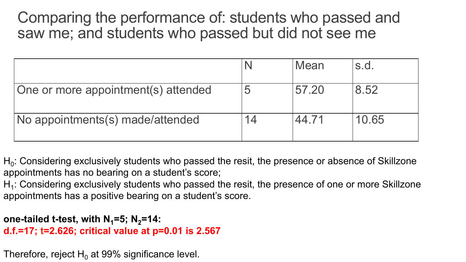Comparing the performance of: students who passed and saw me; and students who passed but did not see me

|                                     |    | Mean  | S.d.  |
|-------------------------------------|----|-------|-------|
| One or more appointment(s) attended |    | 57.20 | 8.52  |
| No appointments(s) made/attended    | 14 | 44.71 | 10.65 |

 $H_0$ : Considering exclusively students who passed the resit, the presence or absence of Skillzone appointments has no bearing on a student's score;

 $H_1$ : Considering exclusively students who passed the resit, the presence of one or more Skillzone appointments has a positive bearing on a student's score.

```
one-tailed t-test, with N_1 = 5; N_2 = 14:
d.f.=17; t=2.626; critical value at p=0.01 is 2.567
```
Therefore, reject  $H_0$  at 99% significance level.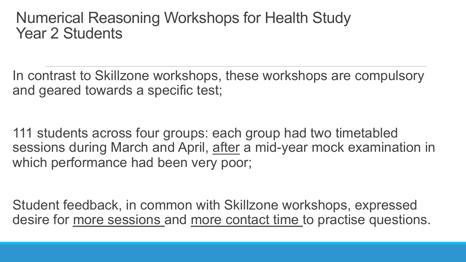#### Numerical Reasoning Workshops for Health Study Year 2 Students

In contrast to Skillzone workshops, these workshops are compulsory and geared towards a specific test;

111 students across four groups: each group had two timetabled sessions during March and April, after a mid-year mock examination in which performance had been very poor;

Student feedback, in common with Skillzone workshops, expressed desire for more sessions and more contact time to practise questions.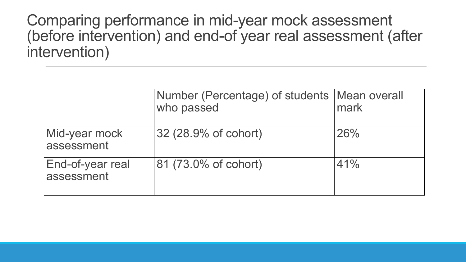Comparing performance in mid-year mock assessment (before intervention) and end-of year real assessment (after intervention)

|                                | Number (Percentage) of students   Mean overall<br>who passed | mark |
|--------------------------------|--------------------------------------------------------------|------|
| Mid-year mock<br>assessment    | 32 (28.9% of cohort)                                         | 26%  |
| End-of-year real<br>assessment | 81 (73.0% of cohort)                                         | 41%  |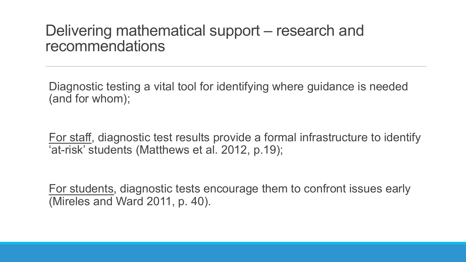#### Delivering mathematical support – research and recommendations

Diagnostic testing a vital tool for identifying where guidance is needed (and for whom);

For staff, diagnostic test results provide a formal infrastructure to identify 'at-risk' students (Matthews et al. 2012, p.19);

For students, diagnostic tests encourage them to confront issues early (Mireles and Ward 2011, p. 40).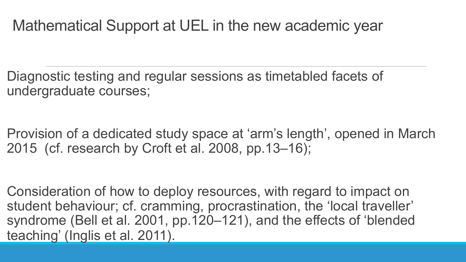### Mathematical Support at UEL in the new academic year

Diagnostic testing and regular sessions as timetabled facets of undergraduate courses;

Provision of a dedicated study space at 'arm's length', opened in March 2015 (cf. research by Croft et al. 2008, pp.13–16);

Consideration of how to deploy resources, with regard to impact on student behaviour; cf. cramming, procrastination, the 'local traveller' syndrome (Bell et al. 2001, pp.120–121), and the effects of 'blended teaching' (Inglis et al. 2011).